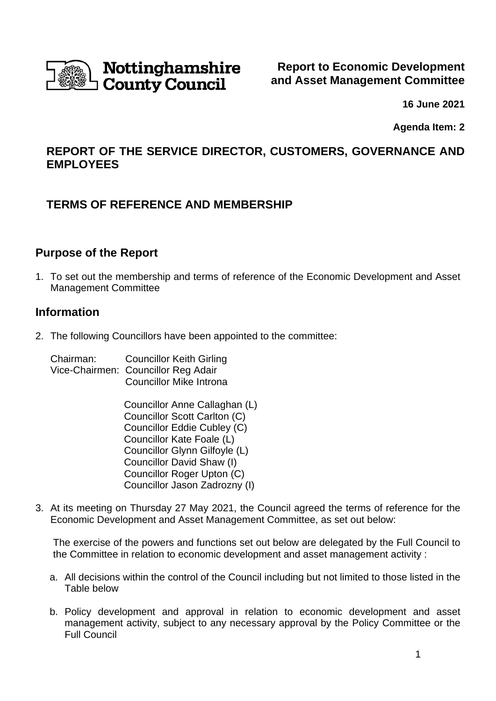

**16 June 2021**

**Agenda Item: 2**

# **REPORT OF THE SERVICE DIRECTOR, CUSTOMERS, GOVERNANCE AND EMPLOYEES**

# **TERMS OF REFERENCE AND MEMBERSHIP**

## **Purpose of the Report**

1. To set out the membership and terms of reference of the Economic Development and Asset Management Committee

## **Information**

2. The following Councillors have been appointed to the committee:

Chairman: Councillor Keith Girling Vice-Chairmen: Councillor Reg Adair Councillor Mike Introna

> Councillor Anne Callaghan (L) Councillor Scott Carlton (C) Councillor Eddie Cubley (C) Councillor Kate Foale (L) Councillor Glynn Gilfoyle (L) Councillor David Shaw (I) Councillor Roger Upton (C) Councillor Jason Zadrozny (I)

3. At its meeting on Thursday 27 May 2021, the Council agreed the terms of reference for the Economic Development and Asset Management Committee, as set out below:

The exercise of the powers and functions set out below are delegated by the Full Council to the Committee in relation to economic development and asset management activity :

- a. All decisions within the control of the Council including but not limited to those listed in the Table below
- b. Policy development and approval in relation to economic development and asset management activity, subject to any necessary approval by the Policy Committee or the Full Council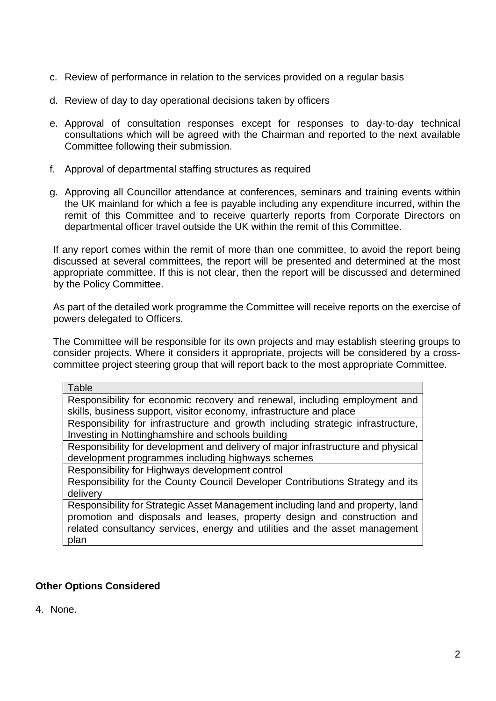- c. Review of performance in relation to the services provided on a regular basis
- d. Review of day to day operational decisions taken by officers
- e. Approval of consultation responses except for responses to day-to-day technical consultations which will be agreed with the Chairman and reported to the next available Committee following their submission.
- f. Approval of departmental staffing structures as required
- g. Approving all Councillor attendance at conferences, seminars and training events within the UK mainland for which a fee is payable including any expenditure incurred, within the remit of this Committee and to receive quarterly reports from Corporate Directors on departmental officer travel outside the UK within the remit of this Committee.

If any report comes within the remit of more than one committee, to avoid the report being discussed at several committees, the report will be presented and determined at the most appropriate committee. If this is not clear, then the report will be discussed and determined by the Policy Committee.

As part of the detailed work programme the Committee will receive reports on the exercise of powers delegated to Officers.

The Committee will be responsible for its own projects and may establish steering groups to consider projects. Where it considers it appropriate, projects will be considered by a crosscommittee project steering group that will report back to the most appropriate Committee.

| Table                                                                            |
|----------------------------------------------------------------------------------|
| Responsibility for economic recovery and renewal, including employment and       |
| skills, business support, visitor economy, infrastructure and place              |
| Responsibility for infrastructure and growth including strategic infrastructure, |
| Investing in Nottinghamshire and schools building                                |
| Responsibility for development and delivery of major infrastructure and physical |
| development programmes including highways schemes                                |
| Responsibility for Highways development control                                  |
| Responsibility for the County Council Developer Contributions Strategy and its   |
| delivery                                                                         |
| Responsibility for Strategic Asset Management including land and property, land  |
| promotion and disposals and leases, property design and construction and         |
| related consultancy services, energy and utilities and the asset management      |

## **Other Options Considered**

plan

4. None.